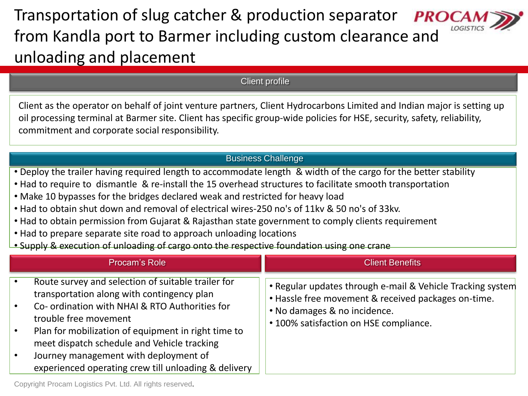Transportation of slug catcher & production separator **PROC** from Kandla port to Barmer including custom clearance and unloading and placement

Client profile

Client as the operator on behalf of joint venture partners, Client Hydrocarbons Limited and Indian major is setting up oil processing terminal at Barmer site. Client has specific group-wide policies for HSE, security, safety, reliability, commitment and corporate social responsibility.

## Business Challenge

- Deploy the trailer having required length to accommodate length & width of the cargo for the better stability
- Had to require to dismantle & re-install the 15 overhead structures to facilitate smooth transportation
- Make 10 bypasses for the bridges declared weak and restricted for heavy load
- Had to obtain shut down and removal of electrical wires-250 no's of 11kv & 50 no's of 33kv.
- Had to obtain permission from Gujarat & Rajasthan state government to comply clients requirement
- Had to prepare separate site road to approach unloading locations
- Supply & execution of unloading of cargo onto the respective foundation using one crane

| Procam's Role                                                                                                                                                                                                                                                                                                                                                                                                                          | <b>Client Benefits</b>                                                                                                                                                                      |
|----------------------------------------------------------------------------------------------------------------------------------------------------------------------------------------------------------------------------------------------------------------------------------------------------------------------------------------------------------------------------------------------------------------------------------------|---------------------------------------------------------------------------------------------------------------------------------------------------------------------------------------------|
| Route survey and selection of suitable trailer for<br>$\bullet$<br>transportation along with contingency plan<br>Co- ordination with NHAI & RTO Authorities for<br>$\bullet$<br>trouble free movement<br>Plan for mobilization of equipment in right time to<br>$\bullet$<br>meet dispatch schedule and Vehicle tracking<br>Journey management with deployment of<br>$\bullet$<br>experienced operating crew till unloading & delivery | • Regular updates through e-mail & Vehicle Tracking system<br>• Hassle free movement & received packages on-time.<br>• No damages & no incidence.<br>• 100% satisfaction on HSE compliance. |

Copyright Procam Logistics Pvt. Ltd. All rights reserved.